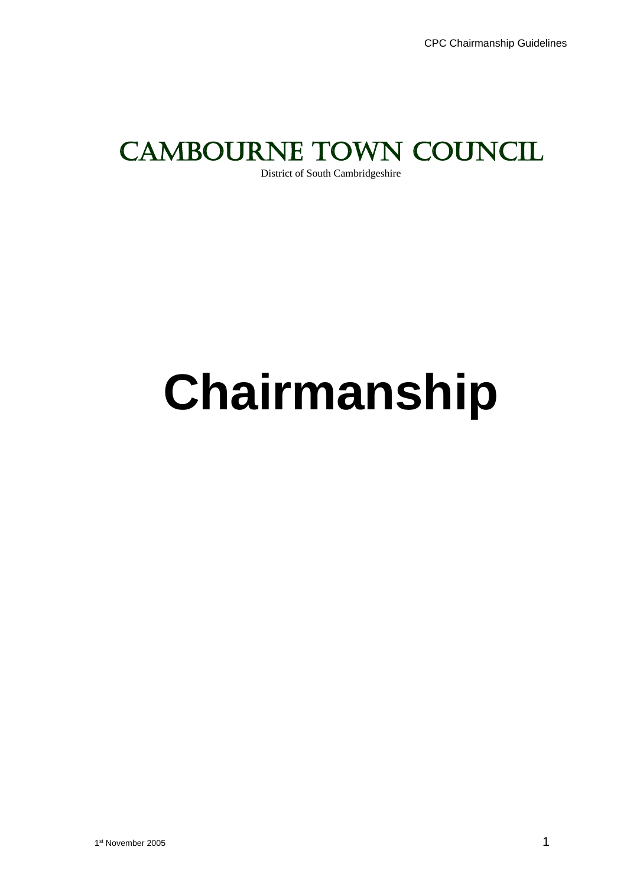# CAMBOURNE TOWN COUNCIL

District of South Cambridgeshire

# **Chairmanship**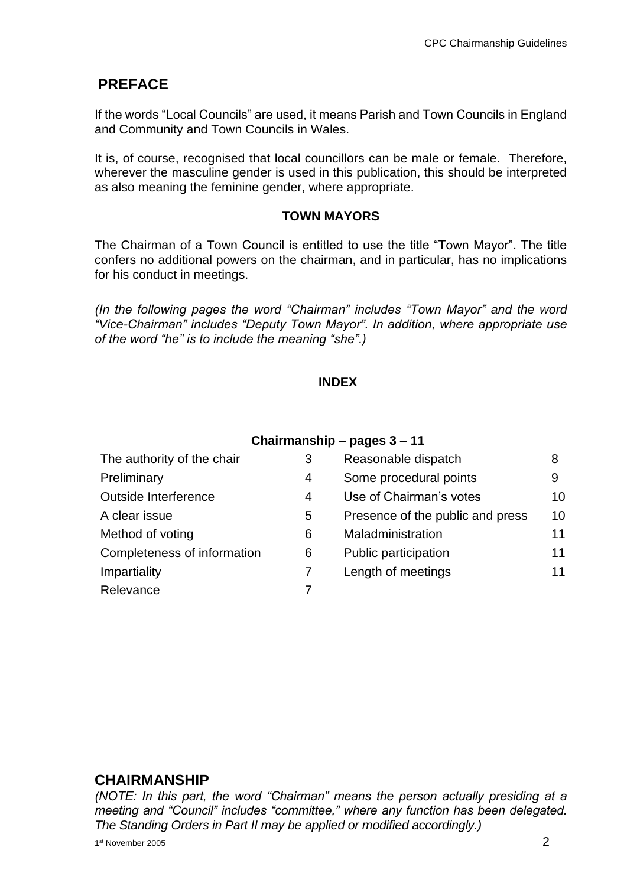# **PREFACE**

If the words "Local Councils" are used, it means Parish and Town Councils in England and Community and Town Councils in Wales.

It is, of course, recognised that local councillors can be male or female. Therefore, wherever the masculine gender is used in this publication, this should be interpreted as also meaning the feminine gender, where appropriate.

#### **TOWN MAYORS**

The Chairman of a Town Council is entitled to use the title "Town Mayor". The title confers no additional powers on the chairman, and in particular, has no implications for his conduct in meetings.

*(In the following pages the word "Chairman" includes "Town Mayor" and the word "Vice-Chairman" includes "Deputy Town Mayor". In addition, where appropriate use of the word "he" is to include the meaning "she".)*

#### **INDEX**

#### **Chairmanship – pages 3 – 11**

| The authority of the chair  | 3 | Reasonable dispatch              | 8  |
|-----------------------------|---|----------------------------------|----|
| Preliminary                 | 4 | Some procedural points           | 9  |
| Outside Interference        | 4 | Use of Chairman's votes          | 10 |
| A clear issue               | 5 | Presence of the public and press | 10 |
| Method of voting            | 6 | Maladministration                | 11 |
| Completeness of information | 6 | Public participation             | 11 |
| Impartiality                |   | Length of meetings               | 11 |
| Relevance                   |   |                                  |    |
|                             |   |                                  |    |

#### **CHAIRMANSHIP**

*(NOTE: In this part, the word "Chairman" means the person actually presiding at a meeting and "Council" includes "committee," where any function has been delegated. The Standing Orders in Part II may be applied or modified accordingly.)*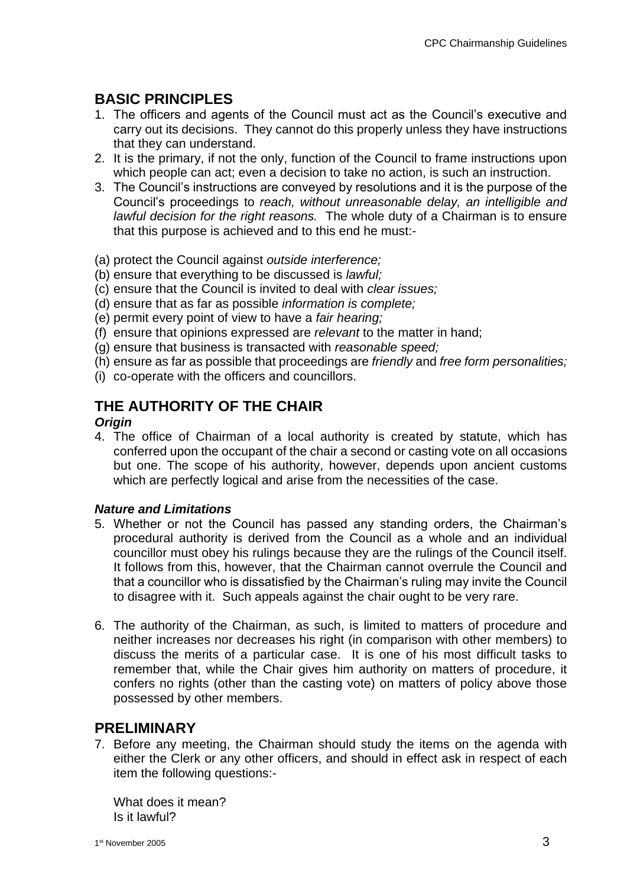# **BASIC PRINCIPLES**

- 1. The officers and agents of the Council must act as the Council's executive and carry out its decisions. They cannot do this properly unless they have instructions that they can understand.
- 2. It is the primary, if not the only, function of the Council to frame instructions upon which people can act; even a decision to take no action, is such an instruction.
- 3. The Council's instructions are conveyed by resolutions and it is the purpose of the Council's proceedings to *reach, without unreasonable delay, an intelligible and lawful decision for the right reasons.* The whole duty of a Chairman is to ensure that this purpose is achieved and to this end he must:-
- (a) protect the Council against *outside interference;*
- (b) ensure that everything to be discussed is *lawful;*
- (c) ensure that the Council is invited to deal with *clear issues;*
- (d) ensure that as far as possible *information is complete;*
- (e) permit every point of view to have a *fair hearing;*
- (f) ensure that opinions expressed are *relevant* to the matter in hand;
- (g) ensure that business is transacted with *reasonable speed;*
- (h) ensure as far as possible that proceedings are *friendly* and *free form personalities;*
- (i) co-operate with the officers and councillors.

# **THE AUTHORITY OF THE CHAIR**

#### *Origin*

4. The office of Chairman of a local authority is created by statute, which has conferred upon the occupant of the chair a second or casting vote on all occasions but one. The scope of his authority, however, depends upon ancient customs which are perfectly logical and arise from the necessities of the case.

#### *Nature and Limitations*

- 5. Whether or not the Council has passed any standing orders, the Chairman's procedural authority is derived from the Council as a whole and an individual councillor must obey his rulings because they are the rulings of the Council itself. It follows from this, however, that the Chairman cannot overrule the Council and that a councillor who is dissatisfied by the Chairman's ruling may invite the Council to disagree with it. Such appeals against the chair ought to be very rare.
- 6. The authority of the Chairman, as such, is limited to matters of procedure and neither increases nor decreases his right (in comparison with other members) to discuss the merits of a particular case. It is one of his most difficult tasks to remember that, while the Chair gives him authority on matters of procedure, it confers no rights (other than the casting vote) on matters of policy above those possessed by other members.

#### **PRELIMINARY**

7. Before any meeting, the Chairman should study the items on the agenda with either the Clerk or any other officers, and should in effect ask in respect of each item the following questions:-

What does it mean? Is it lawful?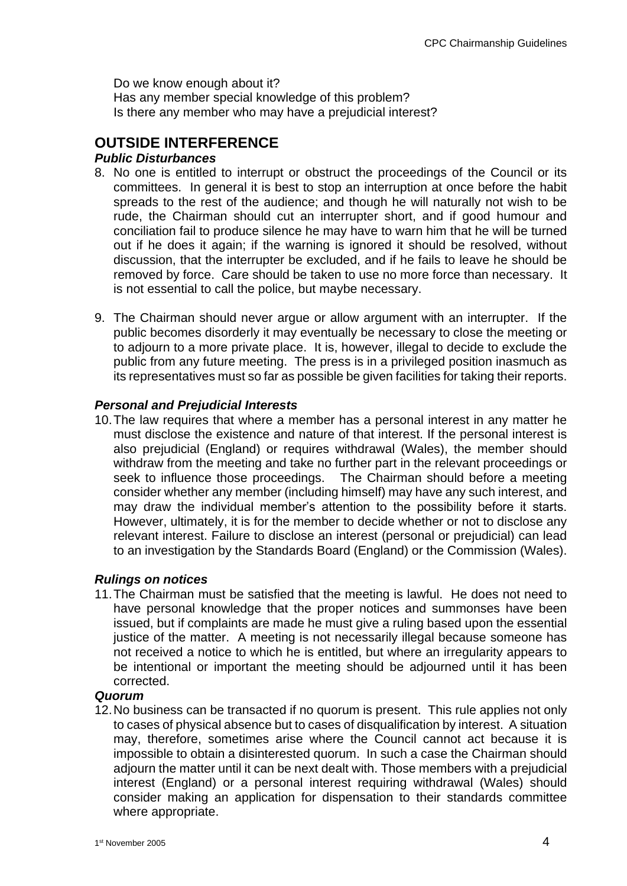Do we know enough about it? Has any member special knowledge of this problem? Is there any member who may have a prejudicial interest?

# **OUTSIDE INTERFERENCE**

#### *Public Disturbances*

- 8. No one is entitled to interrupt or obstruct the proceedings of the Council or its committees. In general it is best to stop an interruption at once before the habit spreads to the rest of the audience; and though he will naturally not wish to be rude, the Chairman should cut an interrupter short, and if good humour and conciliation fail to produce silence he may have to warn him that he will be turned out if he does it again; if the warning is ignored it should be resolved, without discussion, that the interrupter be excluded, and if he fails to leave he should be removed by force. Care should be taken to use no more force than necessary. It is not essential to call the police, but maybe necessary.
- 9. The Chairman should never argue or allow argument with an interrupter. If the public becomes disorderly it may eventually be necessary to close the meeting or to adjourn to a more private place. It is, however, illegal to decide to exclude the public from any future meeting. The press is in a privileged position inasmuch as its representatives must so far as possible be given facilities for taking their reports.

#### *Personal and Prejudicial Interests*

10.The law requires that where a member has a personal interest in any matter he must disclose the existence and nature of that interest. If the personal interest is also prejudicial (England) or requires withdrawal (Wales), the member should withdraw from the meeting and take no further part in the relevant proceedings or seek to influence those proceedings. The Chairman should before a meeting consider whether any member (including himself) may have any such interest, and may draw the individual member's attention to the possibility before it starts. However, ultimately, it is for the member to decide whether or not to disclose any relevant interest. Failure to disclose an interest (personal or prejudicial) can lead to an investigation by the Standards Board (England) or the Commission (Wales).

#### *Rulings on notices*

11.The Chairman must be satisfied that the meeting is lawful. He does not need to have personal knowledge that the proper notices and summonses have been issued, but if complaints are made he must give a ruling based upon the essential justice of the matter. A meeting is not necessarily illegal because someone has not received a notice to which he is entitled, but where an irregularity appears to be intentional or important the meeting should be adjourned until it has been corrected.

#### *Quorum*

12.No business can be transacted if no quorum is present. This rule applies not only to cases of physical absence but to cases of disqualification by interest. A situation may, therefore, sometimes arise where the Council cannot act because it is impossible to obtain a disinterested quorum. In such a case the Chairman should adjourn the matter until it can be next dealt with. Those members with a prejudicial interest (England) or a personal interest requiring withdrawal (Wales) should consider making an application for dispensation to their standards committee where appropriate.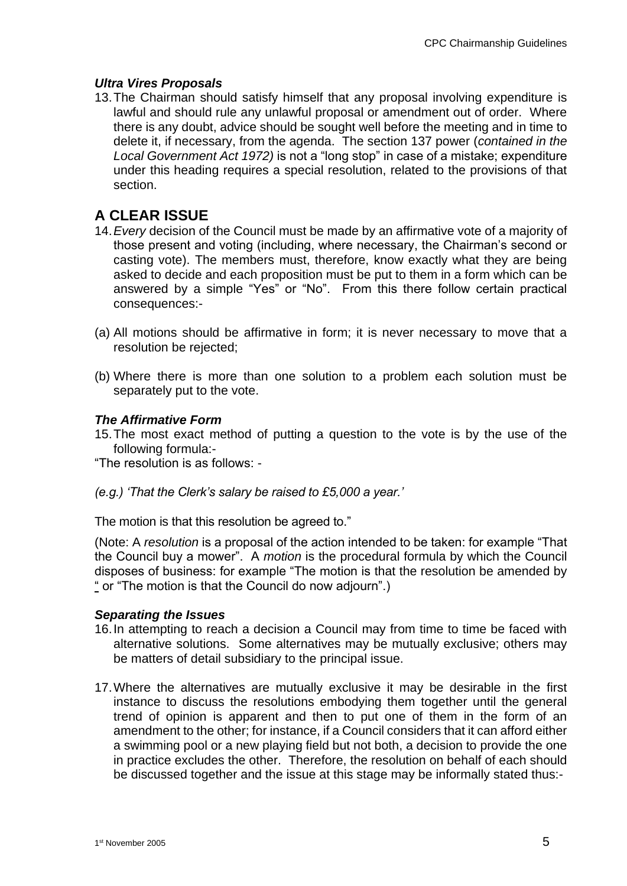#### *Ultra Vires Proposals*

13.The Chairman should satisfy himself that any proposal involving expenditure is lawful and should rule any unlawful proposal or amendment out of order. Where there is any doubt, advice should be sought well before the meeting and in time to delete it, if necessary, from the agenda. The section 137 power (*contained in the Local Government Act 1972)* is not a "long stop" in case of a mistake; expenditure under this heading requires a special resolution, related to the provisions of that section.

# **A CLEAR ISSUE**

- 14.*Every* decision of the Council must be made by an affirmative vote of a majority of those present and voting (including, where necessary, the Chairman's second or casting vote). The members must, therefore, know exactly what they are being asked to decide and each proposition must be put to them in a form which can be answered by a simple "Yes" or "No". From this there follow certain practical consequences:-
- (a) All motions should be affirmative in form; it is never necessary to move that a resolution be rejected;
- (b) Where there is more than one solution to a problem each solution must be separately put to the vote.

#### *The Affirmative Form*

15.The most exact method of putting a question to the vote is by the use of the following formula:-

"The resolution is as follows: -

*(e.g.) 'That the Clerk's salary be raised to £5,000 a year.'*

The motion is that this resolution be agreed to."

(Note: A *resolution* is a proposal of the action intended to be taken: for example "That the Council buy a mower". A *motion* is the procedural formula by which the Council disposes of business: for example "The motion is that the resolution be amended by " or "The motion is that the Council do now adjourn".)

#### *Separating the Issues*

- 16.In attempting to reach a decision a Council may from time to time be faced with alternative solutions. Some alternatives may be mutually exclusive; others may be matters of detail subsidiary to the principal issue.
- 17.Where the alternatives are mutually exclusive it may be desirable in the first instance to discuss the resolutions embodying them together until the general trend of opinion is apparent and then to put one of them in the form of an amendment to the other; for instance, if a Council considers that it can afford either a swimming pool or a new playing field but not both, a decision to provide the one in practice excludes the other. Therefore, the resolution on behalf of each should be discussed together and the issue at this stage may be informally stated thus:-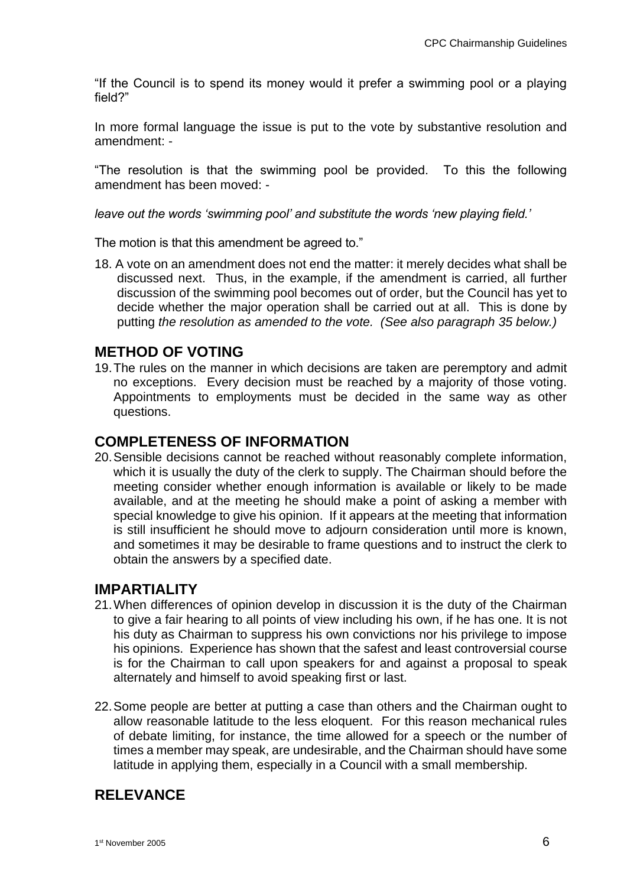"If the Council is to spend its money would it prefer a swimming pool or a playing field?"

In more formal language the issue is put to the vote by substantive resolution and amendment: -

"The resolution is that the swimming pool be provided. To this the following amendment has been moved: -

*leave out the words 'swimming pool' and substitute the words 'new playing field.'*

The motion is that this amendment be agreed to."

18. A vote on an amendment does not end the matter: it merely decides what shall be discussed next. Thus, in the example, if the amendment is carried, all further discussion of the swimming pool becomes out of order, but the Council has yet to decide whether the major operation shall be carried out at all. This is done by putting *the resolution as amended to the vote. (See also paragraph 35 below.)*

#### **METHOD OF VOTING**

19.The rules on the manner in which decisions are taken are peremptory and admit no exceptions. Every decision must be reached by a majority of those voting. Appointments to employments must be decided in the same way as other questions.

#### **COMPLETENESS OF INFORMATION**

20.Sensible decisions cannot be reached without reasonably complete information, which it is usually the duty of the clerk to supply. The Chairman should before the meeting consider whether enough information is available or likely to be made available, and at the meeting he should make a point of asking a member with special knowledge to give his opinion. If it appears at the meeting that information is still insufficient he should move to adjourn consideration until more is known, and sometimes it may be desirable to frame questions and to instruct the clerk to obtain the answers by a specified date.

#### **IMPARTIALITY**

- 21.When differences of opinion develop in discussion it is the duty of the Chairman to give a fair hearing to all points of view including his own, if he has one. It is not his duty as Chairman to suppress his own convictions nor his privilege to impose his opinions. Experience has shown that the safest and least controversial course is for the Chairman to call upon speakers for and against a proposal to speak alternately and himself to avoid speaking first or last.
- 22.Some people are better at putting a case than others and the Chairman ought to allow reasonable latitude to the less eloquent. For this reason mechanical rules of debate limiting, for instance, the time allowed for a speech or the number of times a member may speak, are undesirable, and the Chairman should have some latitude in applying them, especially in a Council with a small membership.

# **RELEVANCE**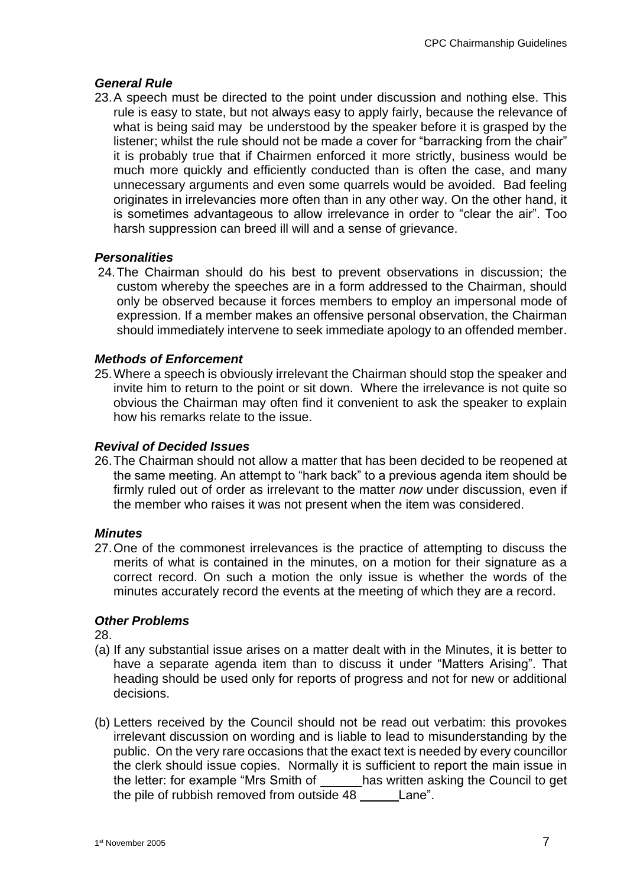#### *General Rule*

23.A speech must be directed to the point under discussion and nothing else. This rule is easy to state, but not always easy to apply fairly, because the relevance of what is being said may be understood by the speaker before it is grasped by the listener; whilst the rule should not be made a cover for "barracking from the chair" it is probably true that if Chairmen enforced it more strictly, business would be much more quickly and efficiently conducted than is often the case, and many unnecessary arguments and even some quarrels would be avoided. Bad feeling originates in irrelevancies more often than in any other way. On the other hand, it is sometimes advantageous to allow irrelevance in order to "clear the air". Too harsh suppression can breed ill will and a sense of grievance.

#### *Personalities*

24.The Chairman should do his best to prevent observations in discussion; the custom whereby the speeches are in a form addressed to the Chairman, should only be observed because it forces members to employ an impersonal mode of expression. If a member makes an offensive personal observation, the Chairman should immediately intervene to seek immediate apology to an offended member.

#### *Methods of Enforcement*

25.Where a speech is obviously irrelevant the Chairman should stop the speaker and invite him to return to the point or sit down. Where the irrelevance is not quite so obvious the Chairman may often find it convenient to ask the speaker to explain how his remarks relate to the issue.

### *Revival of Decided Issues*

26.The Chairman should not allow a matter that has been decided to be reopened at the same meeting. An attempt to "hark back" to a previous agenda item should be firmly ruled out of order as irrelevant to the matter *now* under discussion, even if the member who raises it was not present when the item was considered.

#### *Minutes*

27.One of the commonest irrelevances is the practice of attempting to discuss the merits of what is contained in the minutes, on a motion for their signature as a correct record. On such a motion the only issue is whether the words of the minutes accurately record the events at the meeting of which they are a record.

#### *Other Problems*

28.

- (a) If any substantial issue arises on a matter dealt with in the Minutes, it is better to have a separate agenda item than to discuss it under "Matters Arising". That heading should be used only for reports of progress and not for new or additional decisions.
- (b) Letters received by the Council should not be read out verbatim: this provokes irrelevant discussion on wording and is liable to lead to misunderstanding by the public. On the very rare occasions that the exact text is needed by every councillor the clerk should issue copies. Normally it is sufficient to report the main issue in the letter: for example "Mrs Smith of has written asking the Council to get the pile of rubbish removed from outside 48 Lane".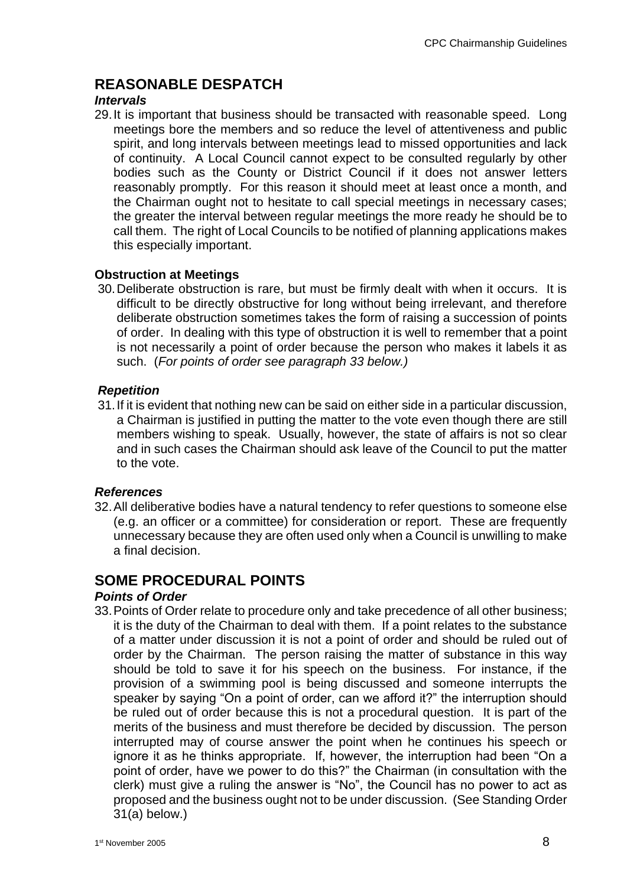# **REASONABLE DESPATCH**

#### *Intervals*

29.It is important that business should be transacted with reasonable speed. Long meetings bore the members and so reduce the level of attentiveness and public spirit, and long intervals between meetings lead to missed opportunities and lack of continuity. A Local Council cannot expect to be consulted regularly by other bodies such as the County or District Council if it does not answer letters reasonably promptly. For this reason it should meet at least once a month, and the Chairman ought not to hesitate to call special meetings in necessary cases; the greater the interval between regular meetings the more ready he should be to call them. The right of Local Councils to be notified of planning applications makes this especially important.

#### **Obstruction at Meetings**

30.Deliberate obstruction is rare, but must be firmly dealt with when it occurs. It is difficult to be directly obstructive for long without being irrelevant, and therefore deliberate obstruction sometimes takes the form of raising a succession of points of order. In dealing with this type of obstruction it is well to remember that a point is not necessarily a point of order because the person who makes it labels it as such. (*For points of order see paragraph 33 below.)*

#### *Repetition*

31.If it is evident that nothing new can be said on either side in a particular discussion, a Chairman is justified in putting the matter to the vote even though there are still members wishing to speak. Usually, however, the state of affairs is not so clear and in such cases the Chairman should ask leave of the Council to put the matter to the vote.

#### *References*

32.All deliberative bodies have a natural tendency to refer questions to someone else (e.g. an officer or a committee) for consideration or report. These are frequently unnecessary because they are often used only when a Council is unwilling to make a final decision.

# **SOME PROCEDURAL POINTS**

#### *Points of Order*

33.Points of Order relate to procedure only and take precedence of all other business; it is the duty of the Chairman to deal with them. If a point relates to the substance of a matter under discussion it is not a point of order and should be ruled out of order by the Chairman. The person raising the matter of substance in this way should be told to save it for his speech on the business. For instance, if the provision of a swimming pool is being discussed and someone interrupts the speaker by saying "On a point of order, can we afford it?" the interruption should be ruled out of order because this is not a procedural question. It is part of the merits of the business and must therefore be decided by discussion. The person interrupted may of course answer the point when he continues his speech or ignore it as he thinks appropriate. If, however, the interruption had been "On a point of order, have we power to do this?" the Chairman (in consultation with the clerk) must give a ruling the answer is "No", the Council has no power to act as proposed and the business ought not to be under discussion. (See Standing Order 31(a) below.)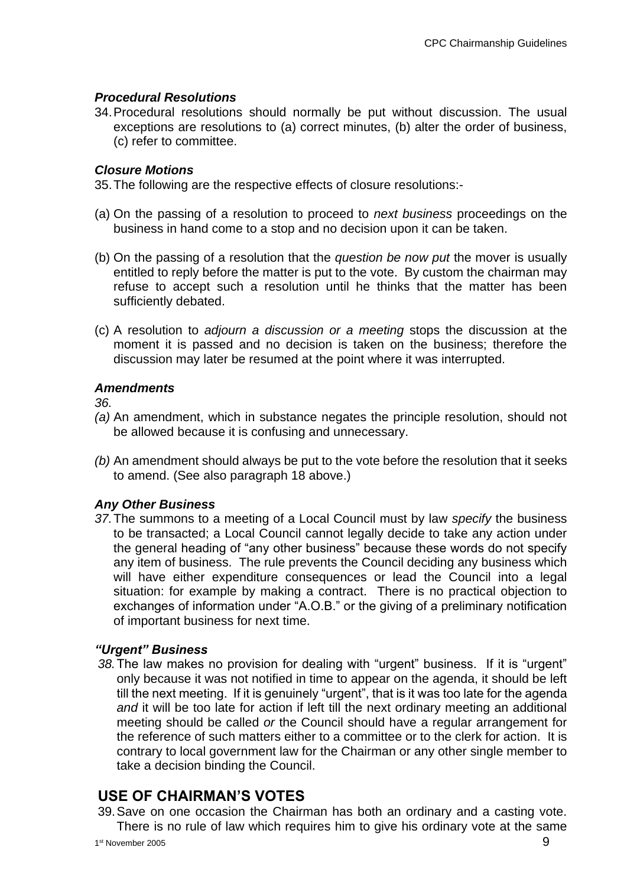#### *Procedural Resolutions*

34.Procedural resolutions should normally be put without discussion. The usual exceptions are resolutions to (a) correct minutes, (b) alter the order of business, (c) refer to committee.

#### *Closure Motions*

35.The following are the respective effects of closure resolutions:-

- (a) On the passing of a resolution to proceed to *next business* proceedings on the business in hand come to a stop and no decision upon it can be taken.
- (b) On the passing of a resolution that the *question be now put* the mover is usually entitled to reply before the matter is put to the vote. By custom the chairman may refuse to accept such a resolution until he thinks that the matter has been sufficiently debated.
- (c) A resolution to *adjourn a discussion or a meeting* stops the discussion at the moment it is passed and no decision is taken on the business; therefore the discussion may later be resumed at the point where it was interrupted.

#### *Amendments*

*36.*

- *(a)* An amendment, which in substance negates the principle resolution, should not be allowed because it is confusing and unnecessary.
- *(b)* An amendment should always be put to the vote before the resolution that it seeks to amend. (See also paragraph 18 above.)

#### *Any Other Business*

*37.*The summons to a meeting of a Local Council must by law *specify* the business to be transacted; a Local Council cannot legally decide to take any action under the general heading of "any other business" because these words do not specify any item of business. The rule prevents the Council deciding any business which will have either expenditure consequences or lead the Council into a legal situation: for example by making a contract. There is no practical objection to exchanges of information under "A.O.B." or the giving of a preliminary notification of important business for next time.

#### *"Urgent" Business*

*38.*The law makes no provision for dealing with "urgent" business. If it is "urgent" only because it was not notified in time to appear on the agenda, it should be left till the next meeting. If it is genuinely "urgent", that is it was too late for the agenda *and* it will be too late for action if left till the next ordinary meeting an additional meeting should be called *or* the Council should have a regular arrangement for the reference of such matters either to a committee or to the clerk for action. It is contrary to local government law for the Chairman or any other single member to take a decision binding the Council.

# **USE OF CHAIRMAN'S VOTES**

39.Save on one occasion the Chairman has both an ordinary and a casting vote. There is no rule of law which requires him to give his ordinary vote at the same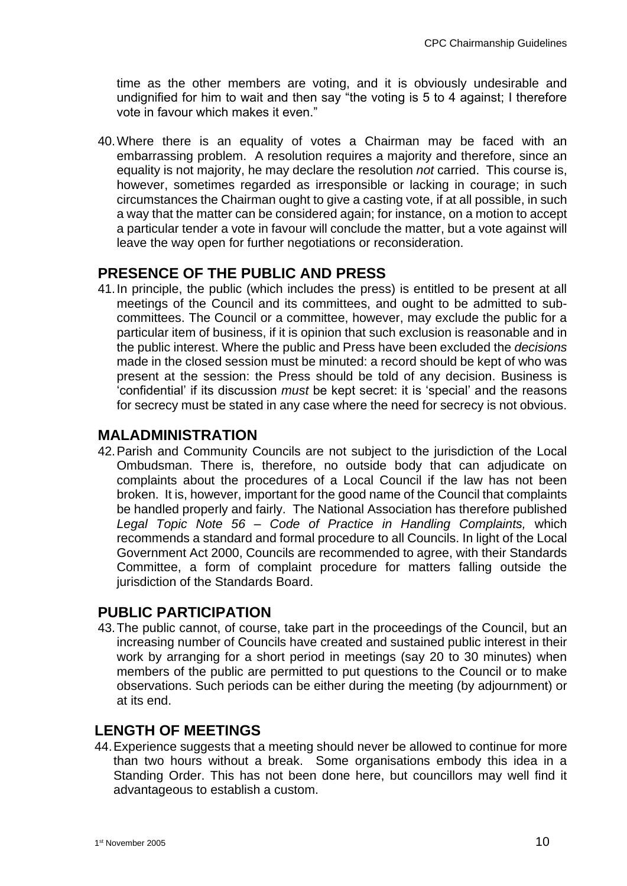time as the other members are voting, and it is obviously undesirable and undignified for him to wait and then say "the voting is 5 to 4 against; I therefore vote in favour which makes it even."

40.Where there is an equality of votes a Chairman may be faced with an embarrassing problem. A resolution requires a majority and therefore, since an equality is not majority, he may declare the resolution *not* carried. This course is, however, sometimes regarded as irresponsible or lacking in courage; in such circumstances the Chairman ought to give a casting vote, if at all possible, in such a way that the matter can be considered again; for instance, on a motion to accept a particular tender a vote in favour will conclude the matter, but a vote against will leave the way open for further negotiations or reconsideration.

# **PRESENCE OF THE PUBLIC AND PRESS**

41.In principle, the public (which includes the press) is entitled to be present at all meetings of the Council and its committees, and ought to be admitted to subcommittees. The Council or a committee, however, may exclude the public for a particular item of business, if it is opinion that such exclusion is reasonable and in the public interest. Where the public and Press have been excluded the *decisions* made in the closed session must be minuted: a record should be kept of who was present at the session: the Press should be told of any decision. Business is 'confidential' if its discussion *must* be kept secret: it is 'special' and the reasons for secrecy must be stated in any case where the need for secrecy is not obvious.

# **MALADMINISTRATION**

42.Parish and Community Councils are not subject to the jurisdiction of the Local Ombudsman. There is, therefore, no outside body that can adjudicate on complaints about the procedures of a Local Council if the law has not been broken. It is, however, important for the good name of the Council that complaints be handled properly and fairly. The National Association has therefore published *Legal Topic Note 56 – Code of Practice in Handling Complaints,* which recommends a standard and formal procedure to all Councils. In light of the Local Government Act 2000, Councils are recommended to agree, with their Standards Committee, a form of complaint procedure for matters falling outside the jurisdiction of the Standards Board.

# **PUBLIC PARTICIPATION**

43.The public cannot, of course, take part in the proceedings of the Council, but an increasing number of Councils have created and sustained public interest in their work by arranging for a short period in meetings (say 20 to 30 minutes) when members of the public are permitted to put questions to the Council or to make observations. Such periods can be either during the meeting (by adjournment) or at its end.

# **LENGTH OF MEETINGS**

44.Experience suggests that a meeting should never be allowed to continue for more than two hours without a break. Some organisations embody this idea in a Standing Order. This has not been done here, but councillors may well find it advantageous to establish a custom.